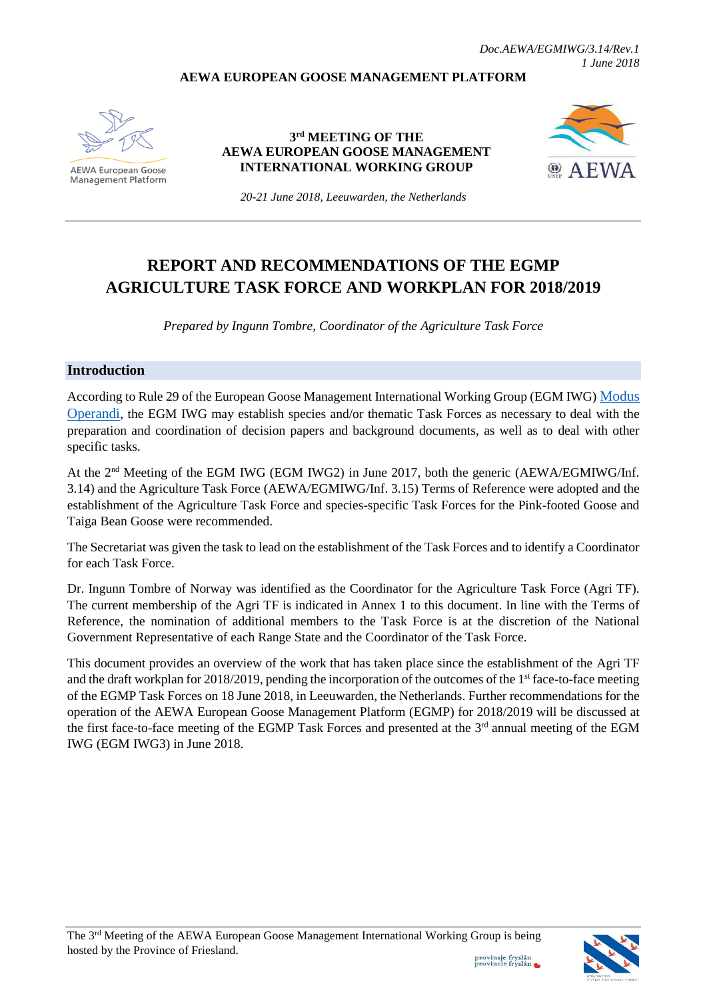#### **AEWA EUROPEAN GOOSE MANAGEMENT PLATFORM**



**AEWA European Goose Management Platform** 

**3 rd MEETING OF THE AEWA EUROPEAN GOOSE MANAGEMENT INTERNATIONAL WORKING GROUP**



*20-21 June 2018, Leeuwarden, the Netherlands*

# **REPORT AND RECOMMENDATIONS OF THE EGMP AGRICULTURE TASK FORCE AND WORKPLAN FOR 2018/2019**

*Prepared by Ingunn Tombre, Coordinator of the Agriculture Task Force*

#### **Introduction**

According to Rule 29 of the European Goose Management International Working Group (EGM IWG) [Modus](http://www.unep-aewa.org/sites/default/files/document/aewa_egmiwg2_inf_4_egmiwg_modus_operandi.pdf)  [Operandi](http://www.unep-aewa.org/sites/default/files/document/aewa_egmiwg2_inf_4_egmiwg_modus_operandi.pdf), the EGM IWG may establish species and/or thematic Task Forces as necessary to deal with the preparation and coordination of decision papers and background documents, as well as to deal with other specific tasks.

At the 2<sup>nd</sup> Meeting of the EGM IWG (EGM IWG2) in June 2017, both the generic (AEWA/EGMIWG/Inf. 3.14) and the Agriculture Task Force (AEWA/EGMIWG/Inf. 3.15) Terms of Reference were adopted and the establishment of the Agriculture Task Force and species-specific Task Forces for the Pink-footed Goose and Taiga Bean Goose were recommended.

The Secretariat was given the task to lead on the establishment of the Task Forces and to identify a Coordinator for each Task Force.

Dr. Ingunn Tombre of Norway was identified as the Coordinator for the Agriculture Task Force (Agri TF). The current membership of the Agri TF is indicated in Annex 1 to this document. In line with the Terms of Reference, the nomination of additional members to the Task Force is at the discretion of the National Government Representative of each Range State and the Coordinator of the Task Force.

This document provides an overview of the work that has taken place since the establishment of the Agri TF and the draft workplan for  $2018/2019$ , pending the incorporation of the outcomes of the 1<sup>st</sup> face-to-face meeting of the EGMP Task Forces on 18 June 2018, in Leeuwarden, the Netherlands. Further recommendations for the operation of the AEWA European Goose Management Platform (EGMP) for 2018/2019 will be discussed at the first face-to-face meeting of the EGMP Task Forces and presented at the 3<sup>rd</sup> annual meeting of the EGM IWG (EGM IWG3) in June 2018.

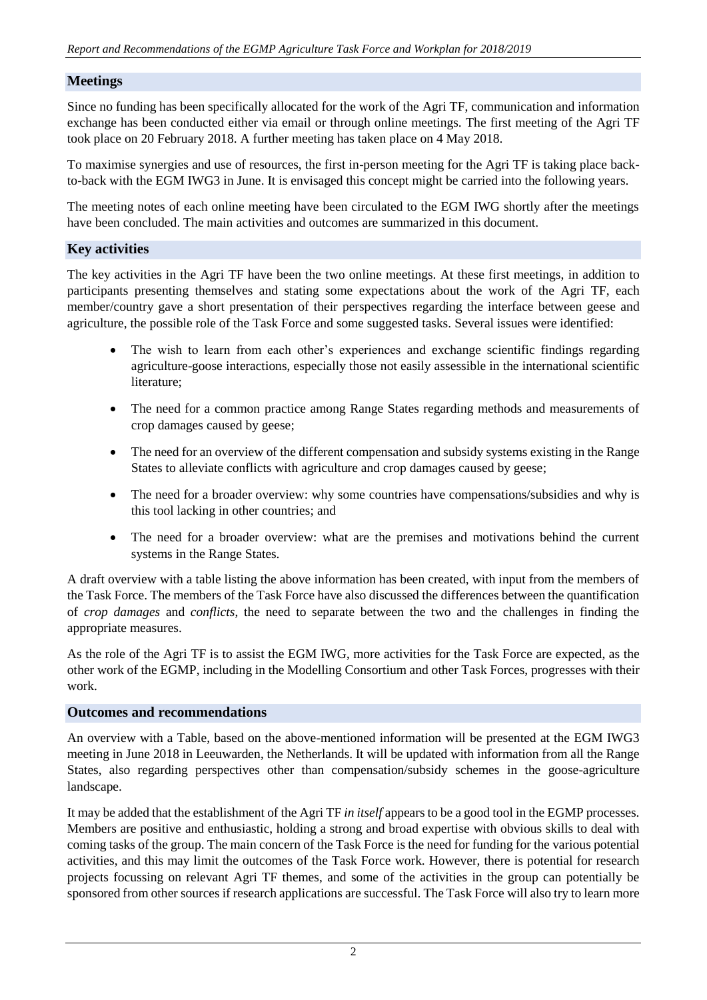## **Meetings**

Since no funding has been specifically allocated for the work of the Agri TF, communication and information exchange has been conducted either via email or through online meetings. The first meeting of the Agri TF took place on 20 February 2018. A further meeting has taken place on 4 May 2018.

To maximise synergies and use of resources, the first in-person meeting for the Agri TF is taking place backto-back with the EGM IWG3 in June. It is envisaged this concept might be carried into the following years.

The meeting notes of each online meeting have been circulated to the EGM IWG shortly after the meetings have been concluded. The main activities and outcomes are summarized in this document.

### **Key activities**

The key activities in the Agri TF have been the two online meetings. At these first meetings, in addition to participants presenting themselves and stating some expectations about the work of the Agri TF, each member/country gave a short presentation of their perspectives regarding the interface between geese and agriculture, the possible role of the Task Force and some suggested tasks. Several issues were identified:

- The wish to learn from each other's experiences and exchange scientific findings regarding agriculture-goose interactions, especially those not easily assessible in the international scientific literature;
- The need for a common practice among Range States regarding methods and measurements of crop damages caused by geese;
- The need for an overview of the different compensation and subsidy systems existing in the Range States to alleviate conflicts with agriculture and crop damages caused by geese;
- The need for a broader overview: why some countries have compensations/subsidies and why is this tool lacking in other countries; and
- The need for a broader overview: what are the premises and motivations behind the current systems in the Range States.

A draft overview with a table listing the above information has been created, with input from the members of the Task Force. The members of the Task Force have also discussed the differences between the quantification of *crop damages* and *conflicts*, the need to separate between the two and the challenges in finding the appropriate measures.

As the role of the Agri TF is to assist the EGM IWG, more activities for the Task Force are expected, as the other work of the EGMP, including in the Modelling Consortium and other Task Forces, progresses with their work.

#### **Outcomes and recommendations**

An overview with a Table, based on the above-mentioned information will be presented at the EGM IWG3 meeting in June 2018 in Leeuwarden, the Netherlands. It will be updated with information from all the Range States, also regarding perspectives other than compensation/subsidy schemes in the goose-agriculture landscape.

It may be added that the establishment of the Agri TF *in itself* appears to be a good tool in the EGMP processes. Members are positive and enthusiastic, holding a strong and broad expertise with obvious skills to deal with coming tasks of the group. The main concern of the Task Force is the need for funding for the various potential activities, and this may limit the outcomes of the Task Force work. However, there is potential for research projects focussing on relevant Agri TF themes, and some of the activities in the group can potentially be sponsored from other sources if research applications are successful. The Task Force will also try to learn more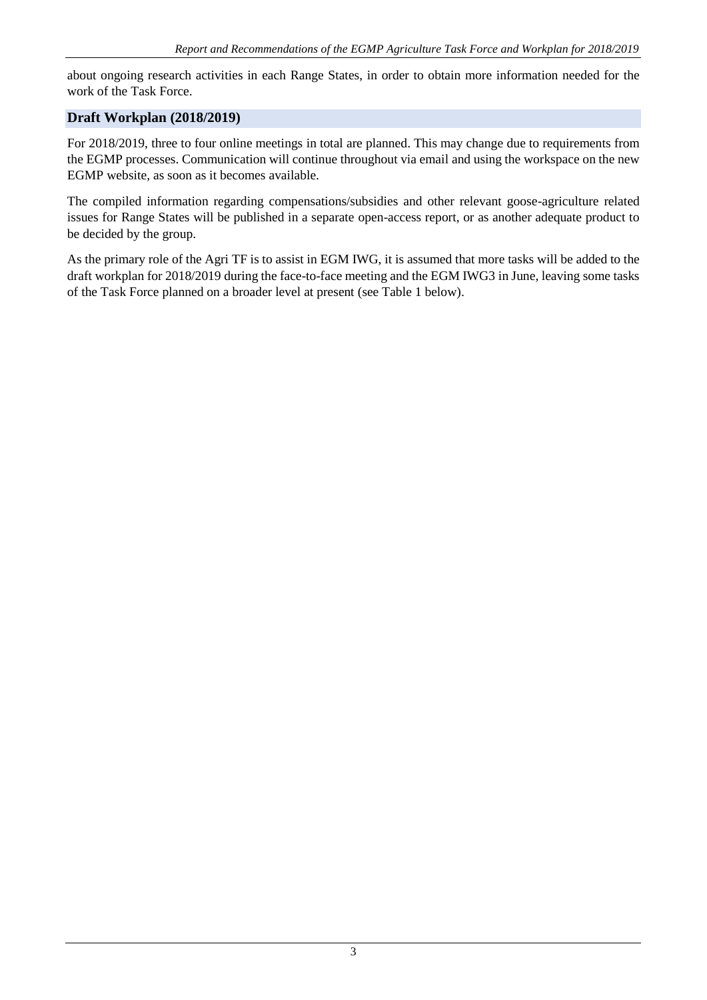about ongoing research activities in each Range States, in order to obtain more information needed for the work of the Task Force.

# **Draft Workplan (2018/2019)**

For 2018/2019, three to four online meetings in total are planned. This may change due to requirements from the EGMP processes. Communication will continue throughout via email and using the workspace on the new EGMP website, as soon as it becomes available.

The compiled information regarding compensations/subsidies and other relevant goose-agriculture related issues for Range States will be published in a separate open-access report, or as another adequate product to be decided by the group.

As the primary role of the Agri TF is to assist in EGM IWG, it is assumed that more tasks will be added to the draft workplan for 2018/2019 during the face-to-face meeting and the EGM IWG3 in June, leaving some tasks of the Task Force planned on a broader level at present (see Table 1 below).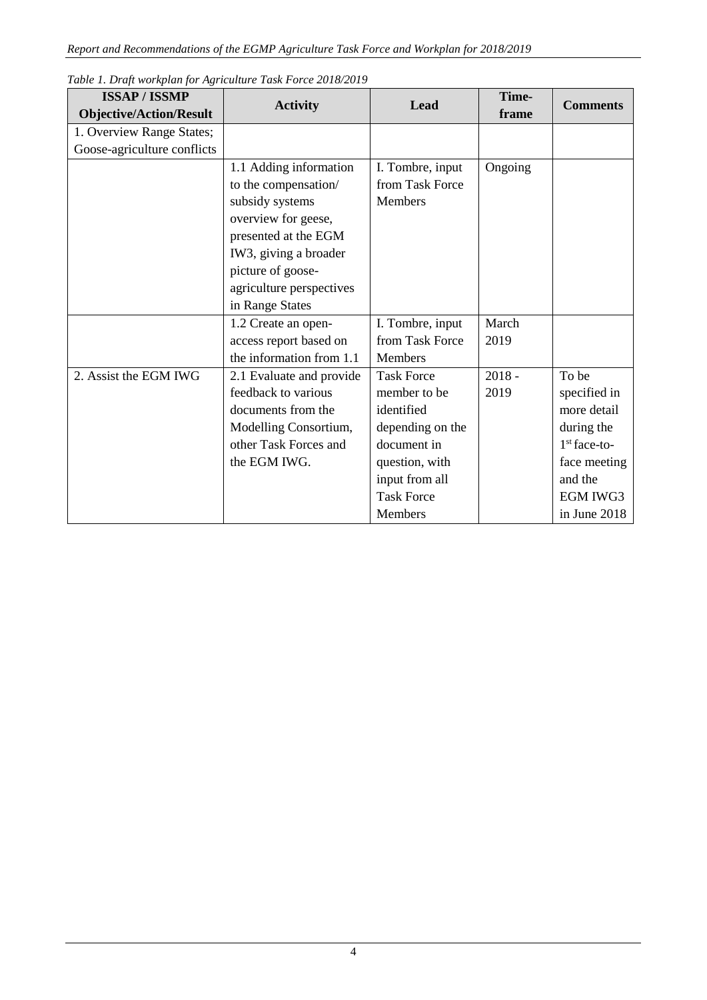| <b>ISSAP/ISSMP</b>             | <b>Activity</b>          | Lead              | Time-    | <b>Comments</b> |
|--------------------------------|--------------------------|-------------------|----------|-----------------|
| <b>Objective/Action/Result</b> |                          |                   | frame    |                 |
| 1. Overview Range States;      |                          |                   |          |                 |
| Goose-agriculture conflicts    |                          |                   |          |                 |
|                                | 1.1 Adding information   | I. Tombre, input  | Ongoing  |                 |
|                                | to the compensation/     | from Task Force   |          |                 |
|                                | subsidy systems          | Members           |          |                 |
|                                | overview for geese,      |                   |          |                 |
|                                | presented at the EGM     |                   |          |                 |
|                                | IW3, giving a broader    |                   |          |                 |
|                                | picture of goose-        |                   |          |                 |
|                                | agriculture perspectives |                   |          |                 |
|                                | in Range States          |                   |          |                 |
|                                | 1.2 Create an open-      | I. Tombre, input  | March    |                 |
|                                | access report based on   | from Task Force   | 2019     |                 |
|                                | the information from 1.1 | Members           |          |                 |
| 2. Assist the EGM IWG          | 2.1 Evaluate and provide | <b>Task Force</b> | $2018 -$ | To be           |
|                                | feedback to various      | member to be      | 2019     | specified in    |
|                                | documents from the       | identified        |          | more detail     |
|                                | Modelling Consortium,    | depending on the  |          | during the      |
|                                | other Task Forces and    | document in       |          | $1st$ face-to-  |
|                                | the EGM IWG.             | question, with    |          | face meeting    |
|                                |                          | input from all    |          | and the         |
|                                |                          | <b>Task Force</b> |          | <b>EGM IWG3</b> |
|                                |                          | Members           |          | in June 2018    |

## *Table 1. Draft workplan for Agriculture Task Force 2018/2019*